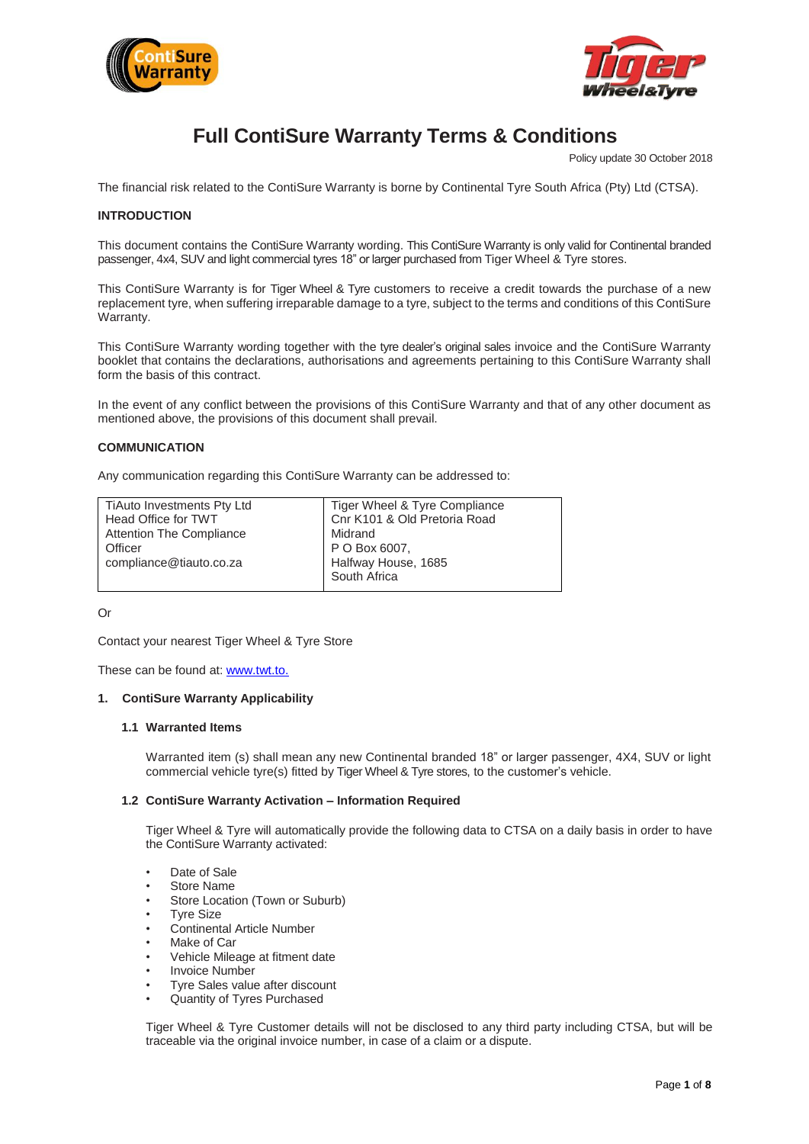



# **Full ContiSure Warranty Terms & Conditions**

Policy update 30 October 2018

The financial risk related to the ContiSure Warranty is borne by Continental Tyre South Africa (Pty) Ltd (CTSA).

# **INTRODUCTION**

This document contains the ContiSure Warranty wording. This ContiSure Warranty is only valid for Continental branded passenger, 4x4, SUV and light commercial tyres 18" or larger purchased from Tiger Wheel & Tyre stores.

This ContiSure Warranty is for Tiger Wheel & Tyre customers to receive a credit towards the purchase of a new replacement tyre, when suffering irreparable damage to a tyre, subject to the terms and conditions of this ContiSure Warranty.

This ContiSure Warranty wording together with the tyre dealer's original sales invoice and the ContiSure Warranty booklet that contains the declarations, authorisations and agreements pertaining to this ContiSure Warranty shall form the basis of this contract.

In the event of any conflict between the provisions of this ContiSure Warranty and that of any other document as mentioned above, the provisions of this document shall prevail.

## **COMMUNICATION**

Any communication regarding this ContiSure Warranty can be addressed to:

| TiAuto Investments Pty Ltd      | Tiger Wheel & Tyre Compliance |
|---------------------------------|-------------------------------|
| Head Office for TWT             | Cnr K101 & Old Pretoria Road  |
| <b>Attention The Compliance</b> | Midrand                       |
| Officer                         | P O Box 6007,                 |
| compliance@tiauto.co.za         | Halfway House, 1685           |
|                                 | South Africa                  |
|                                 |                               |

Or

Contact your nearest Tiger Wheel & Tyre Store

These can be found at: [www.t](http://www.continsure.co.za/)wt.to.

#### **1. ContiSure Warranty Applicability**

#### **1.1 Warranted Items**

Warranted item (s) shall mean any new Continental branded 18" or larger passenger, 4X4, SUV or light commercial vehicle tyre(s) fitted by Tiger Wheel & Tyre stores, to the customer's vehicle.

#### **1.2 ContiSure Warranty Activation – Information Required**

Tiger Wheel & Tyre will automatically provide the following data to CTSA on a daily basis in order to have the ContiSure Warranty activated:

- Date of Sale
- Store Name
- Store Location (Town or Suburb)
- **Tyre Size**
- Continental Article Number
- Make of Car
- Vehicle Mileage at fitment date
- **Invoice Number**
- Tyre Sales value after discount
- Quantity of Tyres Purchased

Tiger Wheel & Tyre Customer details will not be disclosed to any third party including CTSA, but will be traceable via the original invoice number, in case of a claim or a dispute.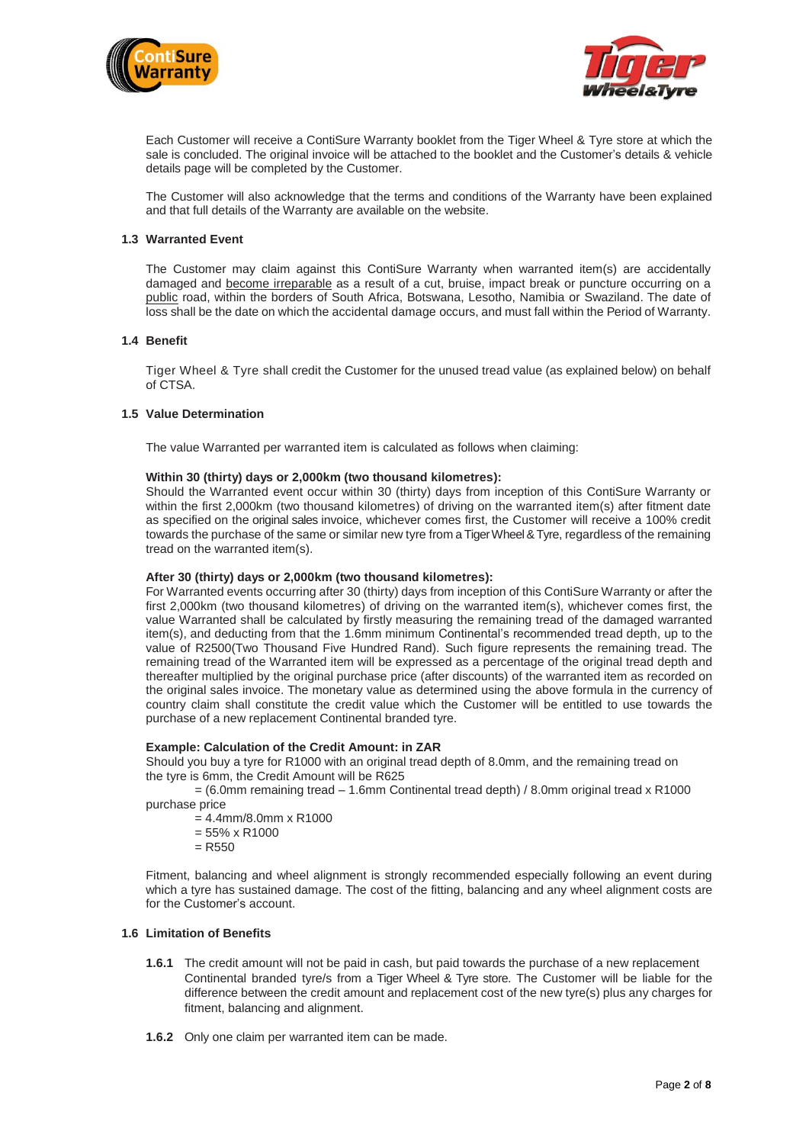



Each Customer will receive a ContiSure Warranty booklet from the Tiger Wheel & Tyre store at which the sale is concluded. The original invoice will be attached to the booklet and the Customer's details & vehicle details page will be completed by the Customer.

The Customer will also acknowledge that the terms and conditions of the Warranty have been explained and that full details of the Warranty are available on the website.

#### **1.3 Warranted Event**

The Customer may claim against this ContiSure Warranty when warranted item(s) are accidentally damaged and become irreparable as a result of a cut, bruise, impact break or puncture occurring on a public road, within the borders of South Africa, Botswana, Lesotho, Namibia or Swaziland. The date of loss shall be the date on which the accidental damage occurs, and must fall within the Period of Warranty.

#### **1.4 Benefit**

Tiger Wheel & Tyre shall credit the Customer for the unused tread value (as explained below) on behalf of CTSA.

## **1.5 Value Determination**

The value Warranted per warranted item is calculated as follows when claiming:

#### **Within 30 (thirty) days or 2,000km (two thousand kilometres):**

Should the Warranted event occur within 30 (thirty) days from inception of this ContiSure Warranty or within the first 2,000km (two thousand kilometres) of driving on the warranted item(s) after fitment date as specified on the original sales invoice, whichever comes first, the Customer will receive a 100% credit towards the purchase of the same or similar new tyre from a Tiger Wheel & Tyre, regardless of the remaining tread on the warranted item(s).

## **After 30 (thirty) days or 2,000km (two thousand kilometres):**

For Warranted events occurring after 30 (thirty) days from inception of this ContiSure Warranty or after the first 2,000km (two thousand kilometres) of driving on the warranted item(s), whichever comes first, the value Warranted shall be calculated by firstly measuring the remaining tread of the damaged warranted item(s), and deducting from that the 1.6mm minimum Continental's recommended tread depth, up to the value of R2500(Two Thousand Five Hundred Rand). Such figure represents the remaining tread. The remaining tread of the Warranted item will be expressed as a percentage of the original tread depth and thereafter multiplied by the original purchase price (after discounts) of the warranted item as recorded on the original sales invoice. The monetary value as determined using the above formula in the currency of country claim shall constitute the credit value which the Customer will be entitled to use towards the purchase of a new replacement Continental branded tyre.

#### **Example: Calculation of the Credit Amount: in ZAR**

Should you buy a tyre for R1000 with an original tread depth of 8.0mm, and the remaining tread on the tyre is 6mm, the Credit Amount will be R625

= (6.0mm remaining tread – 1.6mm Continental tread depth) / 8.0mm original tread x R1000 purchase price

- = 4.4mm/8.0mm x R1000
- = 55% x R1000
- $=$  R550

Fitment, balancing and wheel alignment is strongly recommended especially following an event during which a tyre has sustained damage. The cost of the fitting, balancing and any wheel alignment costs are for the Customer's account.

## **1.6 Limitation of Benefits**

- **1.6.1** The credit amount will not be paid in cash, but paid towards the purchase of a new replacement Continental branded tyre/s from a Tiger Wheel & Tyre store. The Customer will be liable for the difference between the credit amount and replacement cost of the new tyre(s) plus any charges for fitment, balancing and alignment.
- **1.6.2** Only one claim per warranted item can be made.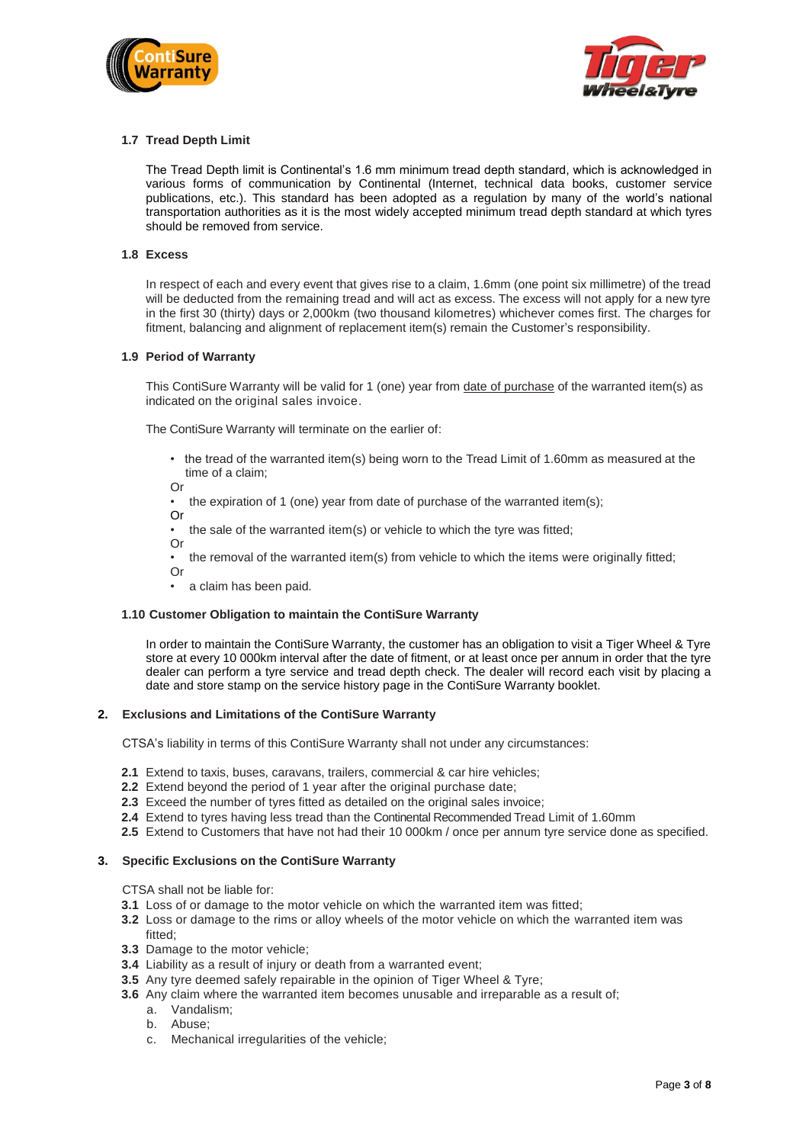



## **1.7 Tread Depth Limit**

The Tread Depth limit is Continental's 1.6 mm minimum tread depth standard, which is acknowledged in various forms of communication by Continental (Internet, technical data books, customer service publications, etc.). This standard has been adopted as a regulation by many of the world's national transportation authorities as it is the most widely accepted minimum tread depth standard at which tyres should be removed from service.

#### **1.8 Excess**

In respect of each and every event that gives rise to a claim, 1.6mm (one point six millimetre) of the tread will be deducted from the remaining tread and will act as excess. The excess will not apply for a new tyre in the first 30 (thirty) days or 2,000km (two thousand kilometres) whichever comes first. The charges for fitment, balancing and alignment of replacement item(s) remain the Customer's responsibility.

#### **1.9 Period of Warranty**

This ContiSure Warranty will be valid for 1 (one) year from date of purchase of the warranted item(s) as indicated on the original sales invoice.

The ContiSure Warranty will terminate on the earlier of:

- the tread of the warranted item(s) being worn to the Tread Limit of 1.60mm as measured at the time of a claim;
- Or
- the expiration of 1 (one) year from date of purchase of the warranted item(s);
- Or
- the sale of the warranted item(s) or vehicle to which the tyre was fitted;
- Or
- the removal of the warranted item(s) from vehicle to which the items were originally fitted; Or
- a claim has been paid.

#### **1.10 Customer Obligation to maintain the ContiSure Warranty**

In order to maintain the ContiSure Warranty, the customer has an obligation to visit a Tiger Wheel & Tyre store at every 10 000km interval after the date of fitment, or at least once per annum in order that the tyre dealer can perform a tyre service and tread depth check. The dealer will record each visit by placing a date and store stamp on the service history page in the ContiSure Warranty booklet.

#### **2. Exclusions and Limitations of the ContiSure Warranty**

CTSA's liability in terms of this ContiSure Warranty shall not under any circumstances:

- **2.1** Extend to taxis, buses, caravans, trailers, commercial & car hire vehicles;
- **2.2** Extend beyond the period of 1 year after the original purchase date;
- **2.3** Exceed the number of tyres fitted as detailed on the original sales invoice;
- **2.4** Extend to tyres having less tread than the Continental Recommended Tread Limit of 1.60mm
- **2.5** Extend to Customers that have not had their 10 000km / once per annum tyre service done as specified.

#### **3. Specific Exclusions on the ContiSure Warranty**

CTSA shall not be liable for:

- **3.1** Loss of or damage to the motor vehicle on which the warranted item was fitted;
- **3.2** Loss or damage to the rims or alloy wheels of the motor vehicle on which the warranted item was
- fitted;
- **3.3** Damage to the motor vehicle;
- **3.4** Liability as a result of injury or death from a warranted event;
- **3.5** Any tyre deemed safely repairable in the opinion of Tiger Wheel & Tyre;
- **3.6** Any claim where the warranted item becomes unusable and irreparable as a result of;
	- a. Vandalism;
	- b. Abuse;
	- c. Mechanical irregularities of the vehicle;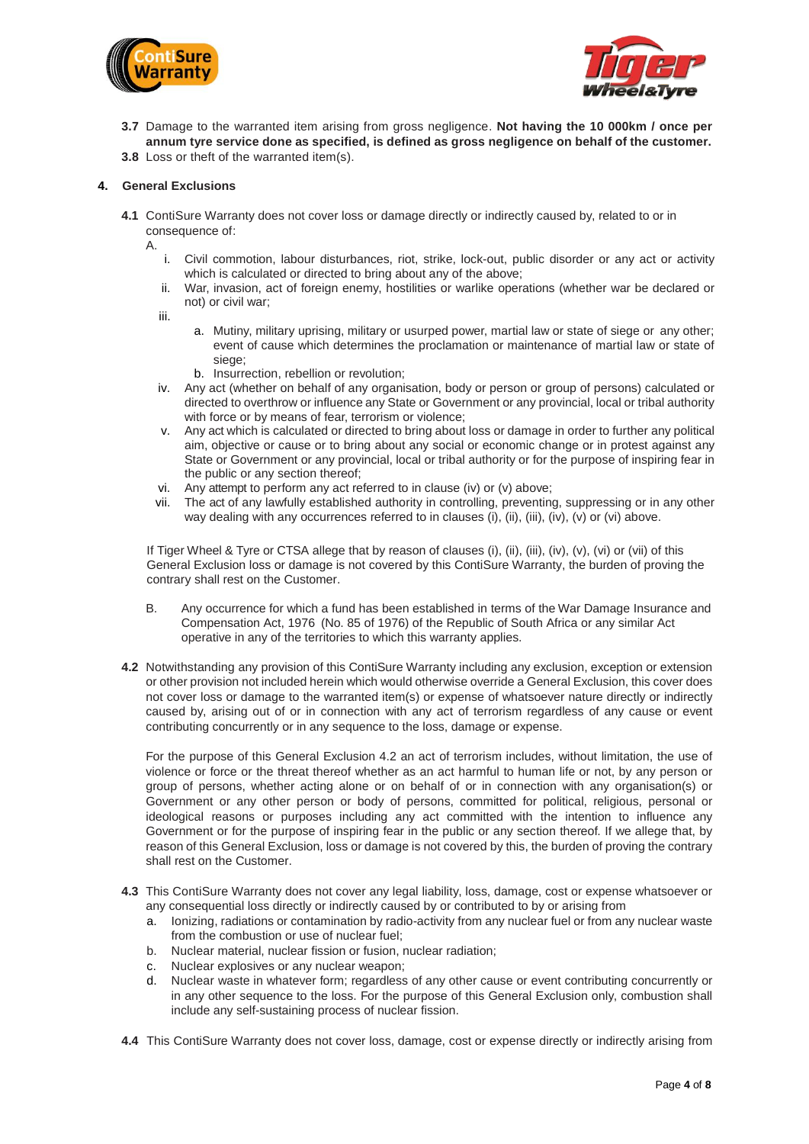



- **3.7** Damage to the warranted item arising from gross negligence. **Not having the 10 000km / once per annum tyre service done as specified, is defined as gross negligence on behalf of the customer.**
- **3.8** Loss or theft of the warranted item(s).

## **4. General Exclusions**

- **4.1** ContiSure Warranty does not cover loss or damage directly or indirectly caused by, related to or in consequence of:
	- A.
		- i. Civil commotion, labour disturbances, riot, strike, lock-out, public disorder or any act or activity which is calculated or directed to bring about any of the above;
		- ii. War, invasion, act of foreign enemy, hostilities or warlike operations (whether war be declared or not) or civil war;
		- iii.
- a. Mutiny, military uprising, military or usurped power, martial law or state of siege or any other; event of cause which determines the proclamation or maintenance of martial law or state of siege;
- b. Insurrection, rebellion or revolution;
- iv. Any act (whether on behalf of any organisation, body or person or group of persons) calculated or directed to overthrow or influence any State or Government or any provincial, local or tribal authority with force or by means of fear, terrorism or violence:
- v. Any act which is calculated or directed to bring about loss or damage in order to further any political aim, objective or cause or to bring about any social or economic change or in protest against any State or Government or any provincial, local or tribal authority or for the purpose of inspiring fear in the public or any section thereof;
- vi. Any attempt to perform any act referred to in clause (iv) or (v) above;
- vii. The act of any lawfully established authority in controlling, preventing, suppressing or in any other way dealing with any occurrences referred to in clauses (i), (ii), (iii), (iv), (v) or (vi) above.

If Tiger Wheel & Tyre or CTSA allege that by reason of clauses (i), (ii), (iii), (iv), (v), (vi) or (vii) of this General Exclusion loss or damage is not covered by this ContiSure Warranty, the burden of proving the contrary shall rest on the Customer.

- B. Any occurrence for which a fund has been established in terms of the War Damage Insurance and Compensation Act, 1976 (No. 85 of 1976) of the Republic of South Africa or any similar Act operative in any of the territories to which this warranty applies.
- **4.2** Notwithstanding any provision of this ContiSure Warranty including any exclusion, exception or extension or other provision not included herein which would otherwise override a General Exclusion, this cover does not cover loss or damage to the warranted item(s) or expense of whatsoever nature directly or indirectly caused by, arising out of or in connection with any act of terrorism regardless of any cause or event contributing concurrently or in any sequence to the loss, damage or expense.

For the purpose of this General Exclusion 4.2 an act of terrorism includes, without limitation, the use of violence or force or the threat thereof whether as an act harmful to human life or not, by any person or group of persons, whether acting alone or on behalf of or in connection with any organisation(s) or Government or any other person or body of persons, committed for political, religious, personal or ideological reasons or purposes including any act committed with the intention to influence any Government or for the purpose of inspiring fear in the public or any section thereof. If we allege that, by reason of this General Exclusion, loss or damage is not covered by this, the burden of proving the contrary shall rest on the Customer.

- **4.3** This ContiSure Warranty does not cover any legal liability, loss, damage, cost or expense whatsoever or any consequential loss directly or indirectly caused by or contributed to by or arising from
	- a. Ionizing, radiations or contamination by radio-activity from any nuclear fuel or from any nuclear waste from the combustion or use of nuclear fuel;
	- b. Nuclear material, nuclear fission or fusion, nuclear radiation;
	- c. Nuclear explosives or any nuclear weapon;
	- d. Nuclear waste in whatever form; regardless of any other cause or event contributing concurrently or in any other sequence to the loss. For the purpose of this General Exclusion only, combustion shall include any self-sustaining process of nuclear fission.
- **4.4** This ContiSure Warranty does not cover loss, damage, cost or expense directly or indirectly arising from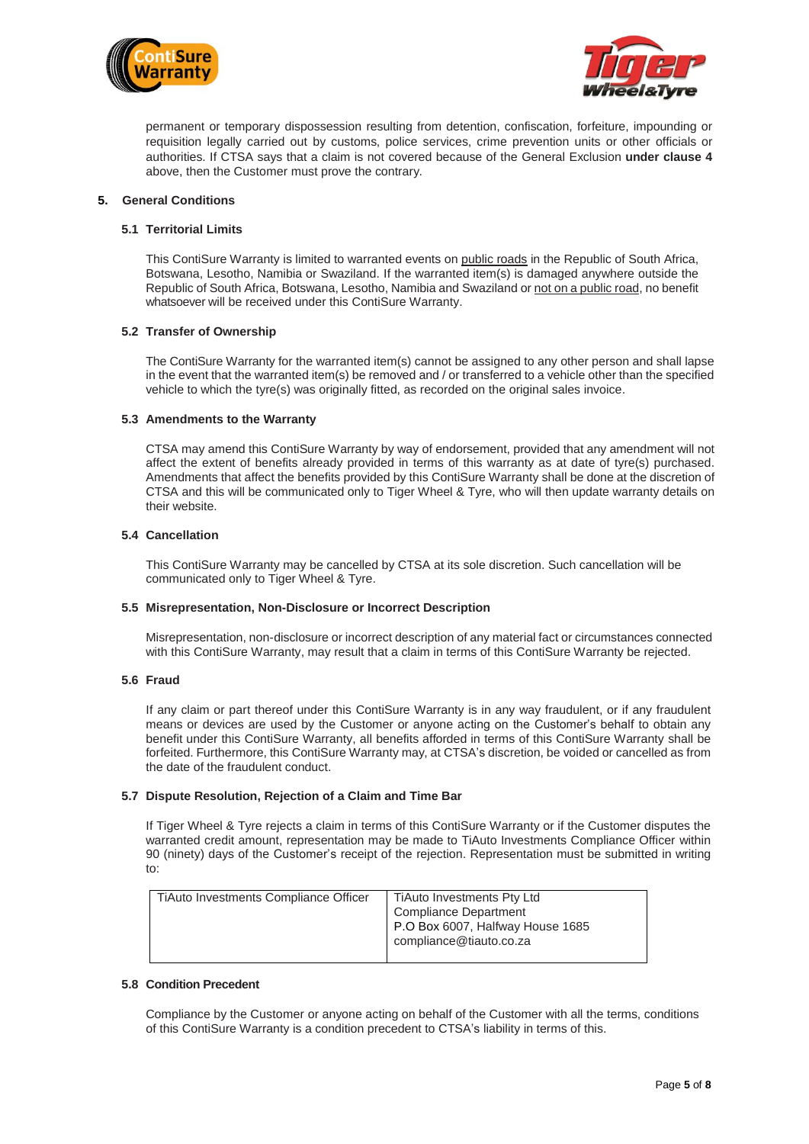



permanent or temporary dispossession resulting from detention, confiscation, forfeiture, impounding or requisition legally carried out by customs, police services, crime prevention units or other officials or authorities. If CTSA says that a claim is not covered because of the General Exclusion **under clause 4** above, then the Customer must prove the contrary.

#### **5. General Conditions**

## **5.1 Territorial Limits**

This ContiSure Warranty is limited to warranted events on public roads in the Republic of South Africa, Botswana, Lesotho, Namibia or Swaziland. If the warranted item(s) is damaged anywhere outside the Republic of South Africa, Botswana, Lesotho, Namibia and Swaziland or not on a public road, no benefit whatsoever will be received under this ContiSure Warranty.

## **5.2 Transfer of Ownership**

The ContiSure Warranty for the warranted item(s) cannot be assigned to any other person and shall lapse in the event that the warranted item(s) be removed and / or transferred to a vehicle other than the specified vehicle to which the tyre(s) was originally fitted, as recorded on the original sales invoice.

## **5.3 Amendments to the Warranty**

CTSA may amend this ContiSure Warranty by way of endorsement, provided that any amendment will not affect the extent of benefits already provided in terms of this warranty as at date of tyre(s) purchased. Amendments that affect the benefits provided by this ContiSure Warranty shall be done at the discretion of CTSA and this will be communicated only to Tiger Wheel & Tyre, who will then update warranty details on their website.

## **5.4 Cancellation**

This ContiSure Warranty may be cancelled by CTSA at its sole discretion. Such cancellation will be communicated only to Tiger Wheel & Tyre.

#### **5.5 Misrepresentation, Non-Disclosure or Incorrect Description**

Misrepresentation, non-disclosure or incorrect description of any material fact or circumstances connected with this ContiSure Warranty, may result that a claim in terms of this ContiSure Warranty be rejected.

#### **5.6 Fraud**

If any claim or part thereof under this ContiSure Warranty is in any way fraudulent, or if any fraudulent means or devices are used by the Customer or anyone acting on the Customer's behalf to obtain any benefit under this ContiSure Warranty, all benefits afforded in terms of this ContiSure Warranty shall be forfeited. Furthermore, this ContiSure Warranty may, at CTSA's discretion, be voided or cancelled as from the date of the fraudulent conduct.

## **5.7 Dispute Resolution, Rejection of a Claim and Time Bar**

If Tiger Wheel & Tyre rejects a claim in terms of this ContiSure Warranty or if the Customer disputes the warranted credit amount, representation may be made to TiAuto Investments Compliance Officer within 90 (ninety) days of the Customer's receipt of the rejection. Representation must be submitted in writing to:

| TiAuto Investments Compliance Officer | TiAuto Investments Pty Ltd<br><b>Compliance Department</b><br>P.O Box 6007, Halfway House 1685<br>compliance@tiauto.co.za |
|---------------------------------------|---------------------------------------------------------------------------------------------------------------------------|
|                                       |                                                                                                                           |

#### **5.8 Condition Precedent**

Compliance by the Customer or anyone acting on behalf of the Customer with all the terms, conditions of this ContiSure Warranty is a condition precedent to CTSA's liability in terms of this.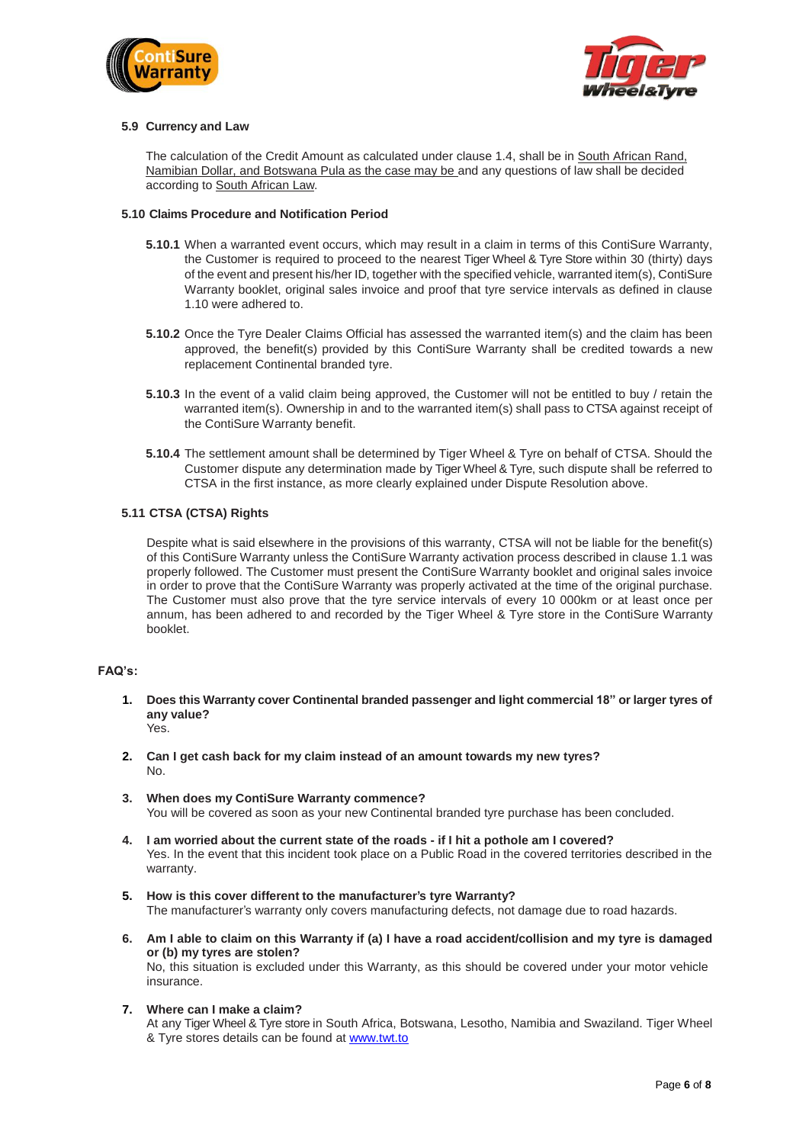



#### **5.9 Currency and Law**

The calculation of the Credit Amount as calculated under clause 1.4, shall be in South African Rand, Namibian Dollar, and Botswana Pula as the case may be and any questions of law shall be decided according to South African Law.

## **5.10 Claims Procedure and Notification Period**

- **5.10.1** When a warranted event occurs, which may result in a claim in terms of this ContiSure Warranty, the Customer is required to proceed to the nearest Tiger Wheel & Tyre Store within 30 (thirty) days of the event and present his/her ID, together with the specified vehicle, warranted item(s), ContiSure Warranty booklet, original sales invoice and proof that tyre service intervals as defined in clause 1.10 were adhered to.
- **5.10.2** Once the Tyre Dealer Claims Official has assessed the warranted item(s) and the claim has been approved, the benefit(s) provided by this ContiSure Warranty shall be credited towards a new replacement Continental branded tyre.
- **5.10.3** In the event of a valid claim being approved, the Customer will not be entitled to buy / retain the warranted item(s). Ownership in and to the warranted item(s) shall pass to CTSA against receipt of the ContiSure Warranty benefit.
- **5.10.4** The settlement amount shall be determined by Tiger Wheel & Tyre on behalf of CTSA. Should the Customer dispute any determination made by Tiger Wheel & Tyre, such dispute shall be referred to CTSA in the first instance, as more clearly explained under Dispute Resolution above.

## **5.11 CTSA (CTSA) Rights**

Despite what is said elsewhere in the provisions of this warranty, CTSA will not be liable for the benefit(s) of this ContiSure Warranty unless the ContiSure Warranty activation process described in clause 1.1 was properly followed. The Customer must present the ContiSure Warranty booklet and original sales invoice in order to prove that the ContiSure Warranty was properly activated at the time of the original purchase. The Customer must also prove that the tyre service intervals of every 10 000km or at least once per annum, has been adhered to and recorded by the Tiger Wheel & Tyre store in the ContiSure Warranty booklet.

## **FAQ's:**

- **1. Does this Warranty cover Continental branded passenger and light commercial 18" or larger tyres of any value?** Yes.
- **2. Can I get cash back for my claim instead of an amount towards my new tyres?** No.
- **3. When does my ContiSure Warranty commence?** You will be covered as soon as your new Continental branded tyre purchase has been concluded.
- **4. I am worried about the current state of the roads - if I hit a pothole am I covered?** Yes. In the event that this incident took place on a Public Road in the covered territories described in the warranty.
- **5. How is this cover different to the manufacturer's tyre Warranty?** The manufacturer's warranty only covers manufacturing defects, not damage due to road hazards.
- **6. Am I able to claim on this Warranty if (a) I have a road accident/collision and my tyre is damaged or (b) my tyres are stolen?** No, this situation is excluded under this Warranty, as this should be covered under your motor vehicle insurance.
- **7. Where can I make a claim?**

At any Tiger Wheel & Tyre store in South Africa, Botswana, Lesotho, Namibia and Swaziland. Tiger Wheel & Tyre stores details can be found at [www.twt.to](http://www.twt.to/)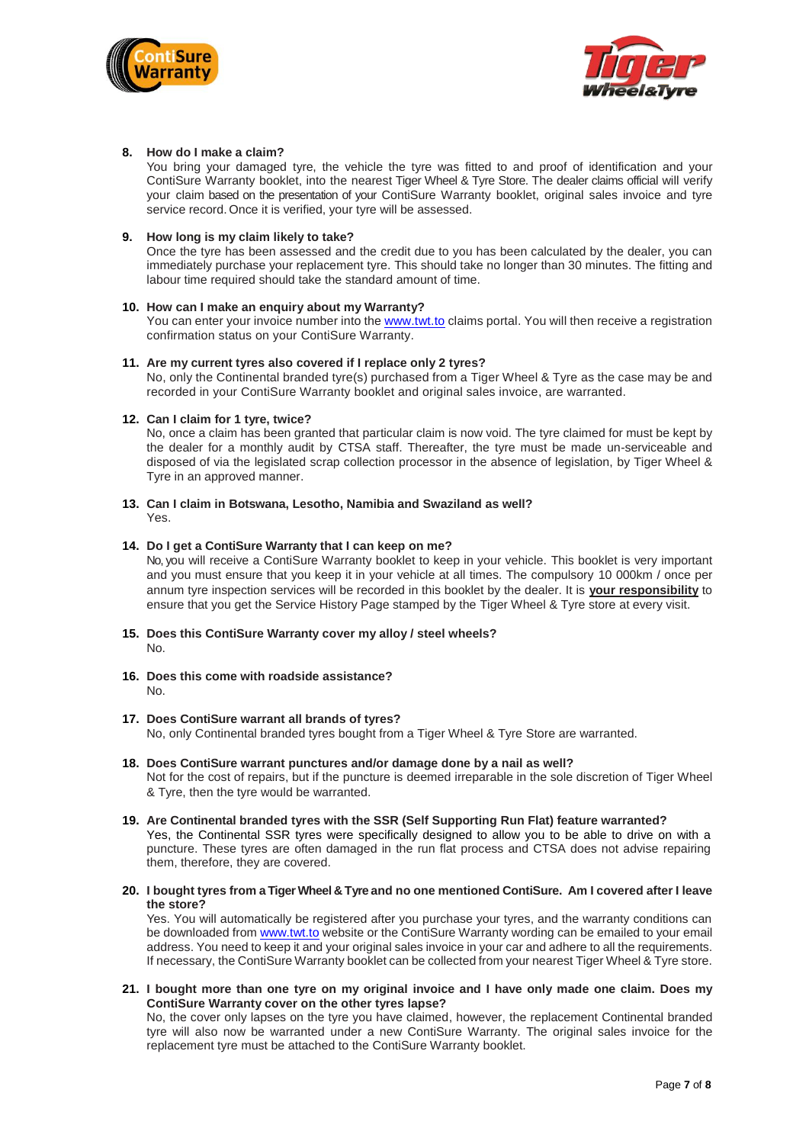



## **8. How do I make a claim?**

You bring your damaged tyre, the vehicle the tyre was fitted to and proof of identification and your ContiSure Warranty booklet, into the nearest Tiger Wheel & Tyre Store. The dealer claims official will verify your claim based on the presentation of your ContiSure Warranty booklet, original sales invoice and tyre service record. Once it is verified, your tyre will be assessed.

#### **9. How long is my claim likely to take?**

Once the tyre has been assessed and the credit due to you has been calculated by the dealer, you can immediately purchase your replacement tyre. This should take no longer than 30 minutes. The fitting and labour time required should take the standard amount of time.

#### **10. How can I make an enquiry about my Warranty?**

You can enter your invoice number into the [www.twt.to](http://www.twt.to/) claims portal. You will then receive a registration confirmation status on your ContiSure Warranty.

## **11. Are my current tyres also covered if I replace only 2 tyres?**

No, only the Continental branded tyre(s) purchased from a Tiger Wheel & Tyre as the case may be and recorded in your ContiSure Warranty booklet and original sales invoice, are warranted.

## **12. Can I claim for 1 tyre, twice?**

No, once a claim has been granted that particular claim is now void. The tyre claimed for must be kept by the dealer for a monthly audit by CTSA staff. Thereafter, the tyre must be made un-serviceable and disposed of via the legislated scrap collection processor in the absence of legislation, by Tiger Wheel & Tyre in an approved manner.

## **13. Can I claim in Botswana, Lesotho, Namibia and Swaziland as well?** Yes.

## **14. Do I get a ContiSure Warranty that I can keep on me?**

No, you will receive a ContiSure Warranty booklet to keep in your vehicle. This booklet is very important and you must ensure that you keep it in your vehicle at all times. The compulsory 10 000km / once per annum tyre inspection services will be recorded in this booklet by the dealer. It is **your responsibility** to ensure that you get the Service History Page stamped by the Tiger Wheel & Tyre store at every visit.

- **15. Does this ContiSure Warranty cover my alloy / steel wheels?** No.
- **16. Does this come with roadside assistance?** No.

#### **17. Does ContiSure warrant all brands of tyres?**

No, only Continental branded tyres bought from a Tiger Wheel & Tyre Store are warranted.

#### **18. Does ContiSure warrant punctures and/or damage done by a nail as well?**

Not for the cost of repairs, but if the puncture is deemed irreparable in the sole discretion of Tiger Wheel & Tyre, then the tyre would be warranted.

# **19. Are Continental branded tyres with the SSR (Self Supporting Run Flat) feature warranted?**

Yes, the Continental SSR tyres were specifically designed to allow you to be able to drive on with a puncture. These tyres are often damaged in the run flat process and CTSA does not advise repairing them, therefore, they are covered.

**20. I bought tyres from a Tiger Wheel & Tyre and no one mentioned ContiSure. Am I covered after I leave the store?**

Yes. You will automatically be registered after you purchase your tyres, and the warranty conditions can be downloaded fro[m www.twt.to](http://www.twt.to/) website or the ContiSure Warranty wording can be emailed to your email address. You need to keep it and your original sales invoice in your car and adhere to all the requirements. If necessary, the ContiSure Warranty booklet can be collected from your nearest Tiger Wheel & Tyre store.

**21. I bought more than one tyre on my original invoice and I have only made one claim. Does my ContiSure Warranty cover on the other tyres lapse?**

No, the cover only lapses on the tyre you have claimed, however, the replacement Continental branded tyre will also now be warranted under a new ContiSure Warranty. The original sales invoice for the replacement tyre must be attached to the ContiSure Warranty booklet.